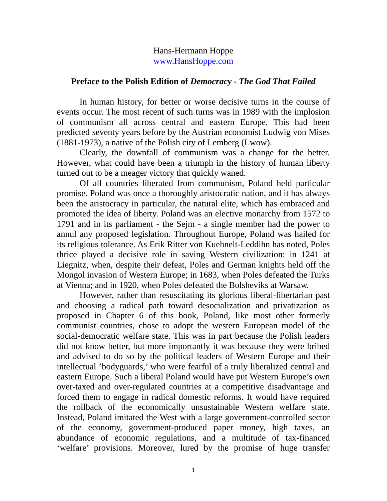## Hans-Hermann Hoppe [www.HansHoppe.com](http://www.hanshoppe.com/)

## **Preface to the Polish Edition of** *Democracy - The God That Failed*

 In human history, for better or worse decisive turns in the course of events occur. The most recent of such turns was in 1989 with the implosion of communism all across central and eastern Europe. This had been predicted seventy years before by the Austrian economist Ludwig von Mises (1881-1973), a native of the Polish city of Lemberg (Lwow).

 Clearly, the downfall of communism was a change for the better. However, what could have been a triumph in the history of human liberty turned out to be a meager victory that quickly waned.

 Of all countries liberated from communism, Poland held particular promise. Poland was once a thoroughly aristocratic nation, and it has always been the aristocracy in particular, the natural elite, which has embraced and promoted the idea of liberty. Poland was an elective monarchy from 1572 to 1791 and in its parliament - the Sejm - a single member had the power to annul any proposed legislation. Throughout Europe, Poland was hailed for its religious tolerance. As Erik Ritter von Kuehnelt-Leddihn has noted, Poles thrice played a decisive role in saving Western civilization: in 1241 at Liegnitz, when, despite their defeat, Poles and German knights held off the Mongol invasion of Western Europe; in 1683, when Poles defeated the Turks at Vienna; and in 1920, when Poles defeated the Bolsheviks at Warsaw.

 However, rather than resuscitating its glorious liberal-libertarian past and choosing a radical path toward desocialization and privatization as proposed in Chapter 6 of this book, Poland, like most other formerly communist countries, chose to adopt the western European model of the social-democratic welfare state. This was in part because the Polish leaders did not know better, but more importantly it was because they were bribed and advised to do so by the political leaders of Western Europe and their intellectual 'bodyguards,' who were fearful of a truly liberalized central and eastern Europe. Such a liberal Poland would have put Western Europe's own over-taxed and over-regulated countries at a competitive disadvantage and forced them to engage in radical domestic reforms. It would have required the rollback of the economically unsustainable Western welfare state. Instead, Poland imitated the West with a large government-controlled sector of the economy, government-produced paper money, high taxes, an abundance of economic regulations, and a multitude of tax-financed 'welfare' provisions. Moreover, lured by the promise of huge transfer